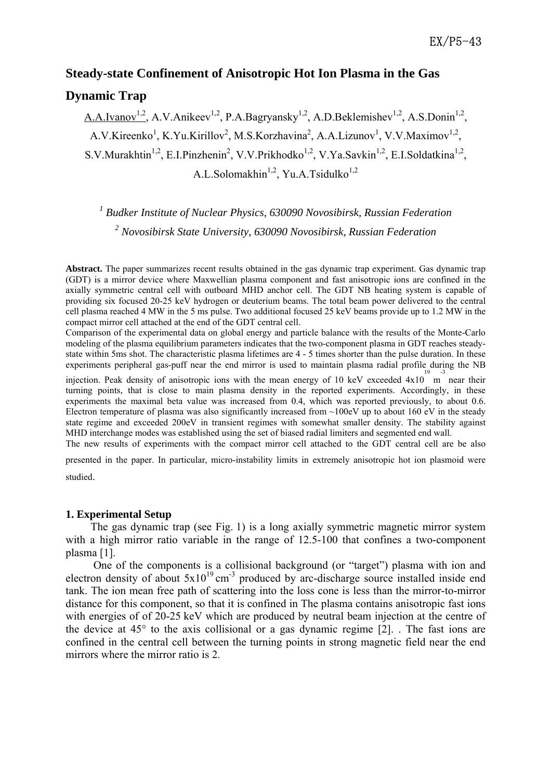# **Steady-state Confinement of Anisotropic Hot Ion Plasma in the Gas Dynamic Trap**

A.A.Ivanov<sup>1,2</sup>, A.V.Anikeev<sup>1,2</sup>, P.A.Bagryansky<sup>1,2</sup>, A.D.Beklemishev<sup>1,2</sup>, A.S.Donin<sup>1,2</sup>, A.V.Kireenko<sup>1</sup>, K.Yu.Kirillov<sup>2</sup>, M.S.Korzhavina<sup>2</sup>, A.A.Lizunov<sup>1</sup>, V.V.Maximov<sup>1,2</sup>, S.V.Murakhtin<sup>1,2</sup>, E.I.Pinzhenin<sup>2</sup>, V.V.Prikhodko<sup>1,2</sup>, V.Ya.Savkin<sup>1,2</sup>, E.I.Soldatkina<sup>1,2</sup>, A.L.Solomakhin<sup>1,2</sup>, Yu.A.Tsidulko<sup>1,2</sup>

<sup>1</sup> Budker Institute of Nuclear Physics, 630090 Novosibirsk, Russian Federation *2 Novosibirsk State University, 630090 Novosibirsk, Russian Federation* 

**Abstract.** The paper summarizes recent results obtained in the gas dynamic trap experiment. Gas dynamic trap (GDT) is a mirror device where Maxwellian plasma component and fast anisotropic ions are confined in the axially symmetric central cell with outboard MHD anchor cell. The GDT NB heating system is capable of providing six focused 20-25 keV hydrogen or deuterium beams. The total beam power delivered to the central cell plasma reached 4 MW in the 5 ms pulse. Two additional focused 25 keV beams provide up to 1.2 MW in the compact mirror cell attached at the end of the GDT central cell.

Comparison of the experimental data on global energy and particle balance with the results of the Monte-Carlo modeling of the plasma equilibrium parameters indicates that the two-component plasma in GDT reaches steadystate within 5ms shot. The characteristic plasma lifetimes are 4 - 5 times shorter than the pulse duration. In these experiments peripheral gas-puff near the end mirror is used to maintain plasma radial profile during the NB

injection. Peak density of anisotropic ions with the mean energy of 10 keV exceeded  $4x10^{19}$  m near their turning points, that is close to main plasma density in the reported experiments. Accordingly, in these experiments the maximal beta value was increased from 0.4, which was reported previously, to about 0.6. Electron temperature of plasma was also significantly increased from  $\sim$ 100eV up to about 160 eV in the steady state regime and exceeded 200eV in transient regimes with somewhat smaller density. The stability against MHD interchange modes was established using the set of biased radial limiters and segmented end wall.

The new results of experiments with the compact mirror cell attached to the GDT central cell are be also

presented in the paper. In particular, micro-instability limits in extremely anisotropic hot ion plasmoid were studied.

## **1. Experimental Setup**

The gas dynamic trap (see Fig. 1) is a long axially symmetric magnetic mirror system with a high mirror ratio variable in the range of 12.5-100 that confines a two-component plasma [1].

 One of the components is a collisional background (or "target") plasma with ion and electron density of about  $5x10^{19}$  cm<sup>-3</sup> produced by arc-discharge source installed inside end tank. The ion mean free path of scattering into the loss cone is less than the mirror-to-mirror distance for this component, so that it is confined in The plasma contains anisotropic fast ions with energies of of 20-25 keV which are produced by neutral beam injection at the centre of the device at 45° to the axis collisional or a gas dynamic regime [2]. . The fast ions are confined in the central cell between the turning points in strong magnetic field near the end mirrors where the mirror ratio is 2.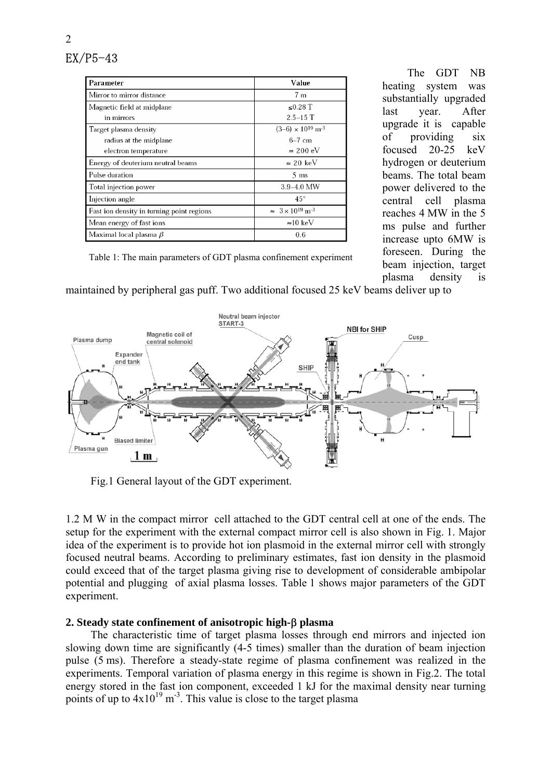2

| Parameter                                 | Value                                  |
|-------------------------------------------|----------------------------------------|
| Mirror to mirror distance                 | 7 <sub>m</sub>                         |
| Magnetic field at midplane                | $\leq 0.28$ T                          |
| in mirrors                                | $2.5 - 15$ T                           |
| Target plasma density                     | $(3-6) \times 10^{19}$ m <sup>-3</sup> |
| radius at the midplane                    | $6-7$ cm                               |
| electron temperature                      | $\approx 200 \text{ eV}$               |
| Energy of deuterium neutral beams         | $\approx$ 20 keV                       |
| Pulse duration                            | $5 \text{ ms}$                         |
| Total injection power                     | $3.9 - 4.0$ MW                         |
| Injection angle                           | $45^{\circ}$                           |
| Fast ion density in turning point regions | $\approx 3 \times 10^{19} \text{ m}^3$ |
| Mean energy of fast ions                  | $\approx 10 \text{ keV}$               |
| Maximal local plasma $\beta$              | 0.6                                    |

The GDT NB heating system was substantially upgraded last year. After upgrade it is capable of providing six focused 20-25 keV hydrogen or deuterium beams. The total beam power delivered to the central cell plasma reaches 4 MW in the 5 ms pulse and further increase upto 6MW is foreseen. During the beam injection, target plasma density is

Table 1: The main parameters of GDT plasma confinement experiment

maintained by peripheral gas puff. Two additional focused 25 keV beams deliver up to



Fig.1 General layout of the GDT experiment.

1.2 M W in the compact mirror cell attached to the GDT central cell at one of the ends. The setup for the experiment with the external compact mirror cell is also shown in Fig. 1. Major idea of the experiment is to provide hot ion plasmoid in the external mirror cell with strongly focused neutral beams. According to preliminary estimates, fast ion density in the plasmoid could exceed that of the target plasma giving rise to development of considerable ambipolar potential and plugging of axial plasma losses. Table 1 shows major parameters of the GDT experiment.

## **2. Steady state confinement of anisotropic high-**β **plasma**

The characteristic time of target plasma losses through end mirrors and injected ion slowing down time are significantly (4-5 times) smaller than the duration of beam injection pulse (5 ms). Therefore a steady-state regime of plasma confinement was realized in the experiments. Temporal variation of plasma energy in this regime is shown in Fig.2. The total energy stored in the fast ion component, exceeded 1 kJ for the maximal density near turning points of up to  $4x10^{19}$  m<sup>-3</sup>. This value is close to the target plasma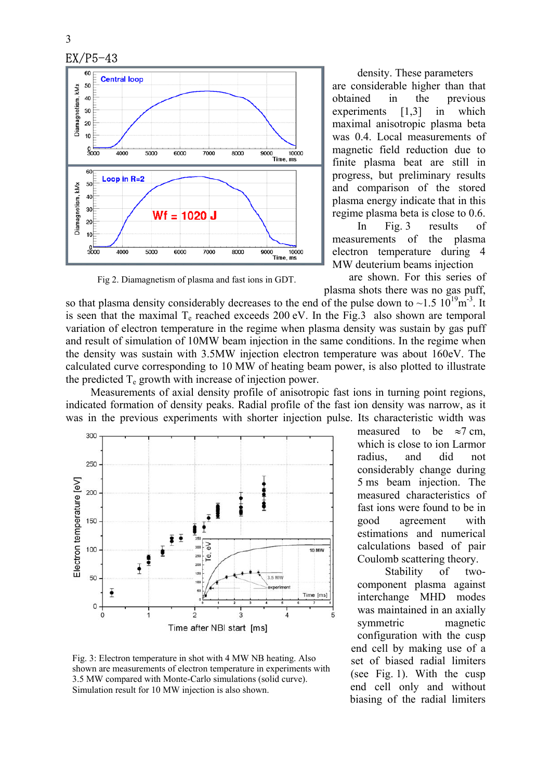

Fig 2. Diamagnetism of plasma and fast ions in GDT.

density. These parameters are considerable higher than that obtained in the previous experiments [1,3] in which maximal anisotropic plasma beta was 0.4. Local measurements of magnetic field reduction due to finite plasma beat are still in progress, but preliminary results and comparison of the stored plasma energy indicate that in this regime plasma beta is close to 0.6.

In Fig. 3 results of measurements of the plasma electron temperature during 4 MW deuterium beams injection

are shown. For this series of plasma shots there was no gas puff,

so that plasma density considerably decreases to the end of the pulse down to  $\sim$ 1.5 10<sup>19</sup>m<sup>-3</sup>. It is seen that the maximal  $T_e$  reached exceeds 200 eV. In the Fig.3 also shown are temporal variation of electron temperature in the regime when plasma density was sustain by gas puff and result of simulation of 10MW beam injection in the same conditions. In the regime when the density was sustain with 3.5MW injection electron temperature was about 160eV. The calculated curve corresponding to 10 MW of heating beam power, is also plotted to illustrate the predicted  $T_e$  growth with increase of injection power.

Measurements of axial density profile of anisotropic fast ions in turning point regions, indicated formation of density peaks. Radial profile of the fast ion density was narrow, as it was in the previous experiments with shorter injection pulse. Its characteristic width was



Fig. 3: Electron temperature in shot with 4 MW NB heating. Also shown are measurements of electron temperature in experiments with 3.5 MW compared with Monte-Carlo simulations (solid curve). Simulation result for 10 MW injection is also shown.

measured to be  $\approx$ 7 cm. which is close to ion Larmor radius, and did not considerably change during 5 ms beam injection. The measured characteristics of fast ions were found to be in good agreement with estimations and numerical calculations based of pair Coulomb scattering theory.

 Stability of twocomponent plasma against interchange MHD modes was maintained in an axially symmetric magnetic configuration with the cusp end cell by making use of a set of biased radial limiters (see Fig. 1). With the cusp end cell only and without biasing of the radial limiters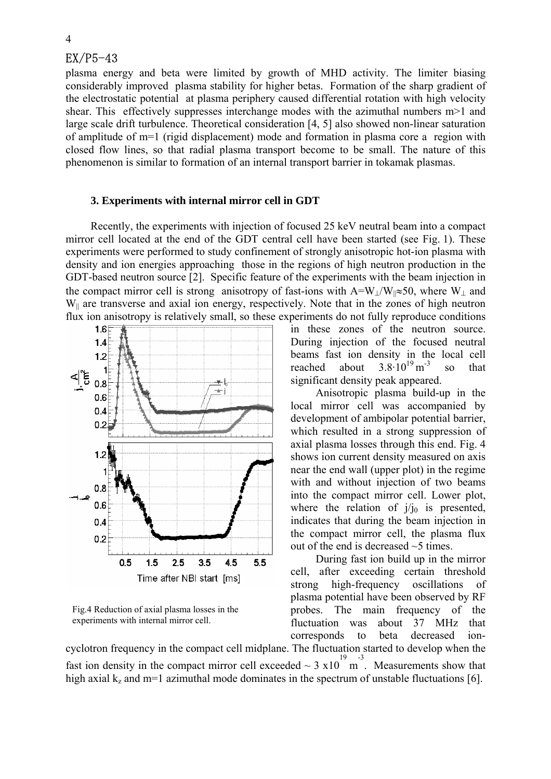## $EX/P5-43$

plasma energy and beta were limited by growth of MHD activity. The limiter biasing considerably improved plasma stability for higher betas. Formation of the sharp gradient of the electrostatic potential at plasma periphery caused differential rotation with high velocity shear. This effectively suppresses interchange modes with the azimuthal numbers m>1 and large scale drift turbulence. Theoretical consideration [4, 5] also showed non-linear saturation of amplitude of m=1 (rigid displacement) mode and formation in plasma core a region with closed flow lines, so that radial plasma transport become to be small. The nature of this phenomenon is similar to formation of an internal transport barrier in tokamak plasmas.

#### **3. Experiments with internal mirror cell in GDT**

Recently, the experiments with injection of focused 25 keV neutral beam into a compact mirror cell located at the end of the GDT central cell have been started (see Fig. 1). These experiments were performed to study confinement of strongly anisotropic hot-ion plasma with density and ion energies approaching those in the regions of high neutron production in the GDT-based neutron source [2]. Specific feature of the experiments with the beam injection in the compact mirror cell is strong anisotropy of fast-ions with A=W<sub>⊥</sub>/W<sub>||</sub>≈50, where W<sub>⊥</sub> and W<sub>||</sub> are transverse and axial ion energy, respectively. Note that in the zones of high neutron flux ion anisotropy is relatively small, so these experiments do not fully reproduce conditions



Fig.4 Reduction of axial plasma losses in the experiments with internal mirror cell.

in these zones of the neutron source. During injection of the focused neutral beams fast ion density in the local cell reached about  $3.8 \cdot 10^{19}$  m<sup>-3</sup> so that significant density peak appeared.

Anisotropic plasma build-up in the local mirror cell was accompanied by development of ambipolar potential barrier, which resulted in a strong suppression of axial plasma losses through this end. Fig. 4 shows ion current density measured on axis near the end wall (upper plot) in the regime with and without injection of two beams into the compact mirror cell. Lower plot, where the relation of  $j/j_0$  is presented, indicates that during the beam injection in the compact mirror cell, the plasma flux out of the end is decreased  $\sim$ 5 times.

During fast ion build up in the mirror cell, after exceeding certain threshold strong high-frequency oscillations of plasma potential have been observed by RF probes. The main frequency of the fluctuation was about 37 MHz that corresponds to beta decreased ion-

cyclotron frequency in the compact cell midplane. The fluctuation started to develop when the fast ion density in the compact mirror cell exceeded  $\sim 3 \times 10^{19}$  m. Measurements show that high axial  $k_z$  and m=1 azimuthal mode dominates in the spectrum of unstable fluctuations [6].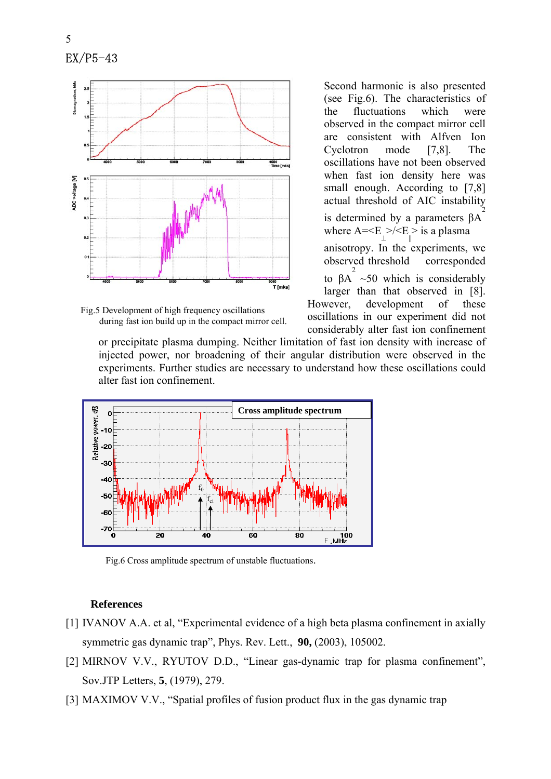



Second harmonic is also presented (see Fig.6). The characteristics of the fluctuations which were observed in the compact mirror cell are consistent with Alfven Ion Cyclotron mode [7,8]. The oscillations have not been observed when fast ion density here was small enough. According to [7,8] actual threshold of AIC instability is determined by a parameters βA 2

where  $A = \langle E_{\perp} \rangle / \langle E_{\parallel} \rangle$  is a plasma anisotropy. In the experiments, we observed threshold corresponded to  $\beta A^2 \sim 50$  which is considerably larger than that observed in [8]. However, development of these oscillations in our experiment did not

considerably alter fast ion confinement

or precipitate plasma dumping. Neither limitation of fast ion density with increase of injected power, nor broadening of their angular distribution were observed in the experiments. Further studies are necessary to understand how these oscillations could alter fast ion confinement.



Fig.6 Cross amplitude spectrum of unstable fluctuations.

#### **References**

- [1] IVANOV A.A. et al, "Experimental evidence of a high beta plasma confinement in axially symmetric gas dynamic trap", Phys. Rev. Lett., **90,** (2003), 105002.
- [2] MIRNOV V.V., RYUTOV D.D., "Linear gas-dynamic trap for plasma confinement", Sov.JTP Letters, **5**, (1979), 279.
- [3] MAXIMOV V.V., "Spatial profiles of fusion product flux in the gas dynamic trap